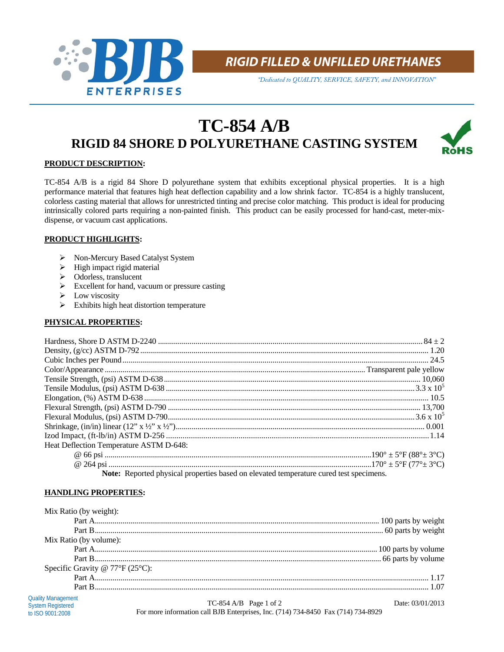

**RIGID FILLED & UNFILLED URETHANES**

*"Dedicated to QUALITY, SERVICE, SAFETY, and INNOVATION"*

# **TC-854 A/B RIGID 84 SHORE D POLYURETHANE CASTING SYSTEM**



# **PRODUCT DESCRIPTION:**

TC-854 A/B is a rigid 84 Shore D polyurethane system that exhibits exceptional physical properties. It is a high performance material that features high heat deflection capability and a low shrink factor. TC-854 is a highly translucent, colorless casting material that allows for unrestricted tinting and precise color matching. This product is ideal for producing intrinsically colored parts requiring a non-painted finish. This product can be easily processed for hand-cast, meter-mixdispense, or vacuum cast applications.

## **PRODUCT HIGHLIGHTS:**

- Non-Mercury Based Catalyst System
- $\triangleright$  High impact rigid material
- Odorless, translucent
- $\triangleright$  Excellent for hand, vacuum or pressure casting
- $\triangleright$  Low viscosity
- $\triangleright$  Exhibits high heat distortion temperature

# **PHYSICAL PROPERTIES:**

| Heat Deflection Temperature ASTM D-648:                                                |  |  |
|----------------------------------------------------------------------------------------|--|--|
|                                                                                        |  |  |
|                                                                                        |  |  |
| Note: Reported physical properties based on elevated temperature cured test specimens. |  |  |

**HANDLING PROPERTIES:**

to ISO 9001:2008

| Mix Ratio (by weight):                          |                        |                  |
|-------------------------------------------------|------------------------|------------------|
|                                                 |                        |                  |
|                                                 |                        |                  |
| Mix Ratio (by volume):                          |                        |                  |
|                                                 |                        |                  |
|                                                 |                        |                  |
| Specific Gravity @ $77^{\circ}F(25^{\circ}C)$ : |                        |                  |
|                                                 |                        |                  |
|                                                 |                        |                  |
| <b>Quality Management</b><br>System Registered  | TC-854 A/B Page 1 of 2 | Date: 03/01/2013 |

For more information call BJB Enterprises, Inc. (714) 734-8450 Fax (714) 734-8929